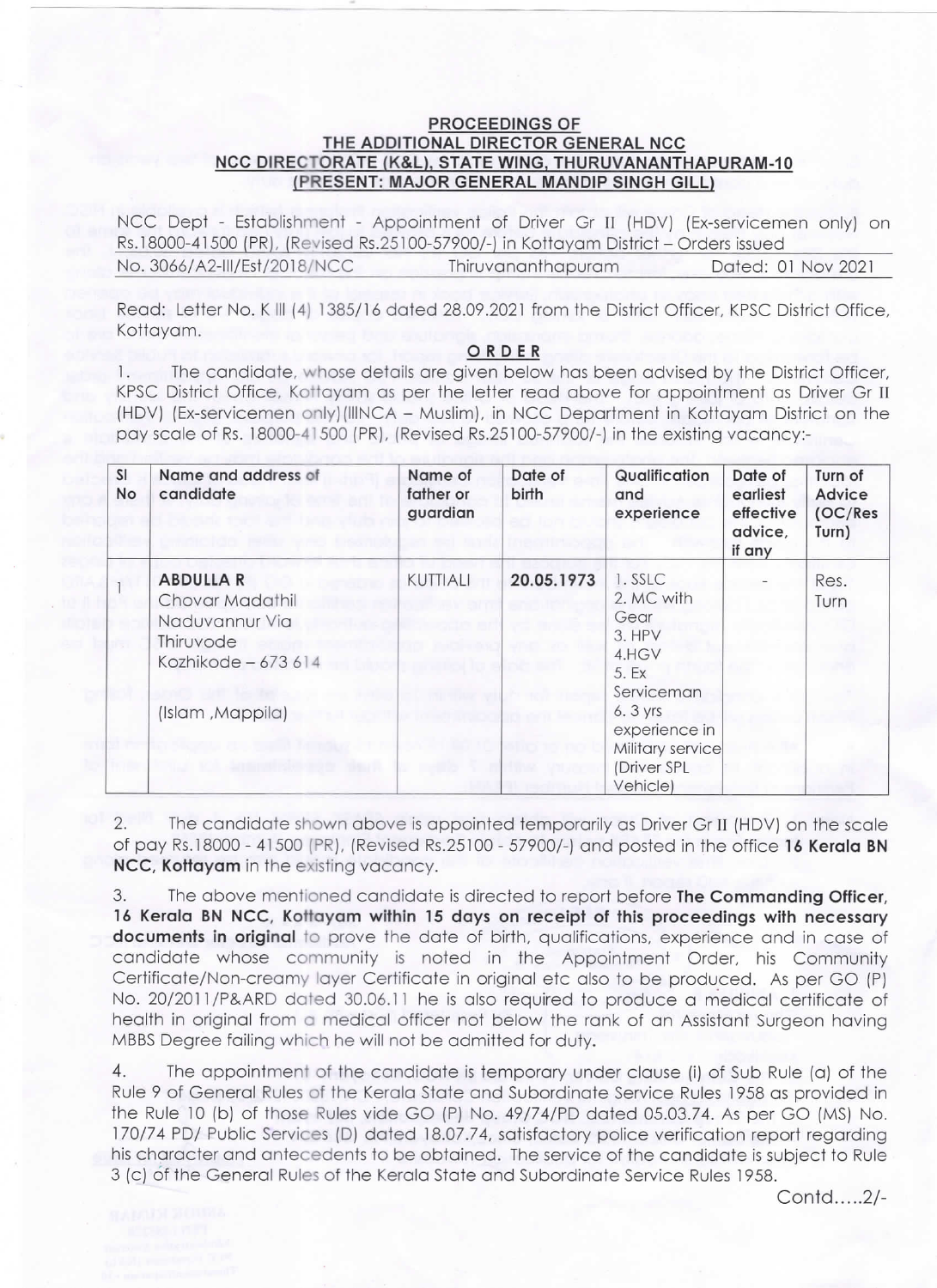## PROCEEDINGS OF THE ADDITIONAL DIRECTOR GENERAL NCC NCC DIRECTORATE (K&L). STATE WING. THURUVANANTHAPURAM-10 (PRESENT: MAJOR GENERAL MANDIP SINGH GILL)

NCC Dept - Establishment - Appointment of Driver Gr 11 (HDV) (Ex-servicemen only) on Rs.18000-41500 (PR), (Revised Rs.25100-57900/-) in Kottayam District - Orders issued No. 3066/A2-Ill/Est/2018/NCC Thiruvananthapuram Dated: OI Nov 202l

Read: Letter No. K III (4) 1385/16 dated 28.09.2021 from the District Officer, KPSC District Office, Kottayam.

## ORDER

1. The candidate, whose details are given below has been advised by the District officer, KPSC District Office, Kottayam as per the letter read above for appointment as Driver Gr 11 (HDV) (Ex-servicemen only)(IIINCA - Muslim), in NCC Department in Kottayam District on the pay scale of Rs.18000-41500 (PR), (Revised Rs.25100-57900/-) in the existing vacancy:-

| <b>SI</b><br>No | Name and address of<br>candidate                                                          | Name of<br>father or<br>guardian | Date of<br>birth | Qualification<br>and<br>experience                                       | Date of<br>earliest<br>effective<br>advice,<br>if any | Turn of<br>Advice<br>(OC/Res<br>Turn) |
|-----------------|-------------------------------------------------------------------------------------------|----------------------------------|------------------|--------------------------------------------------------------------------|-------------------------------------------------------|---------------------------------------|
|                 | <b>ABDULLA R</b><br>Chovar Madathil<br>Naduvannur Via<br>Thiruvode<br>Kozhikode - 673 614 | KUTTIALI                         | 20.05.1973       | 1. SSLC<br>2. MC with<br>Gear<br>3. HPV<br>4.HGV<br>5. Ex<br>Serviceman  |                                                       | Res.<br>Turn                          |
|                 | (Islam , Mappila)                                                                         |                                  |                  | 6. 3 yrs<br>experience in<br>Military service<br>(Driver SPL<br>Vehicle) |                                                       |                                       |

2. The candidate shown above is appointed temporarily as Driver Gr ll (HDV) on the scale of pay Rs.18000 - 41500 (PR), (Revised Rs.25100 - 57900/-) and posted in the office 16 Kerala BN NCC, Kottayam in the existing vacancy.

3. The above mentioned candidate is directed to report before The Commanding Officer, 16 Kerala BN NCC, Kottayam within 15 days on receipt of this proceedings with necessary documents in original to prove the date of birth, qualifications, experience and in case of candidate whose community is noted in the Appointment Order, his Community Certificate/Non-creamy layer Certificate in original etc also to be produced. As per GO (P) No. 20/2011/P&ARD dated 30.06.11 he is also required to produce a medical certificate of health in original from a medical officer not below the rank of an Assistant Surgeon having MBBS Degree failing which he will not be admitted for duty.

4. The appointment of the candidate is temporary under clause (i) of sub Rule (a) of the Rule 9 of General Rules of the Kerala State and Subordinate Service Rules 1958 as provided in the Rule 10 (b) of those Rules vide GO (P) No. 49/74/PD dated 05.03.74. As per GO (MS) No. 170/74 PD/ Public Services (D) dated 18.07.74, satisfactory police verification report regarding his character and antecedents to be obtained. The service of the candidate is subject to Rule 3 (c) 6f the General Rules of the Kerala State and Subordinate Service Rules 1958.

Contd.....2/-